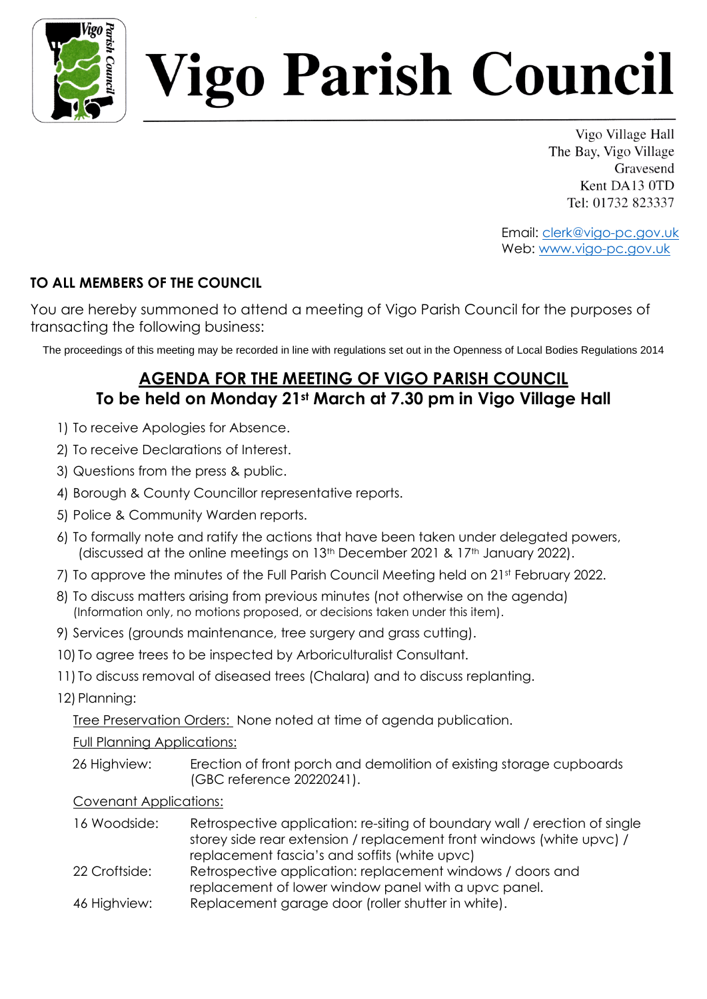

# igo Parish Council

Vigo Village Hall The Bay, Vigo Village Gravesend Kent DA13 0TD Tel: 01732 823337

Email: clerk@vigo-pc.gov.uk Web: www.vigo-pc.gov.uk

## **TO ALL MEMBERS OF THE COUNCIL**

You are hereby summoned to attend a meeting of Vigo Parish Council for the purposes of transacting the following business:

The proceedings of this meeting may be recorded in line with regulations set out in the Openness of Local Bodies Regulations 2014

## **AGENDA FOR THE MEETING OF VIGO PARISH COUNCIL To be held on Monday 21st March at 7.30 pm in Vigo Village Hall**

- 1) To receive Apologies for Absence.
- 2) To receive Declarations of Interest.
- 3) Questions from the press & public.
- 4) Borough & County Councillor representative reports.
- 5) Police & Community Warden reports.
- 6) To formally note and ratify the actions that have been taken under delegated powers, (discussed at the online meetings on 13<sup>th</sup> December 2021 & 17<sup>th</sup> January 2022).
- 7) To approve the minutes of the Full Parish Council Meeting held on 21st February 2022.
- 8) To discuss matters arising from previous minutes (not otherwise on the agenda) (Information only, no motions proposed, or decisions taken under this item).
- 9) Services (grounds maintenance, tree surgery and grass cutting).
- 10) To agree trees to be inspected by Arboriculturalist Consultant.
- 11) To discuss removal of diseased trees (Chalara) and to discuss replanting.
- 12) Planning:

Tree Preservation Orders: None noted at time of agenda publication.

Full Planning Applications:

26 Highview: Erection of front porch and demolition of existing storage cupboards (GBC reference 20220241).

### Covenant Applications:

16 Woodside: Retrospective application: re-siting of boundary wall / erection of single storey side rear extension / replacement front windows (white upvc) / replacement fascia's and soffits (white upvc) 22 Croftside: Retrospective application: replacement windows / doors and replacement of lower window panel with a upvc panel. 46 Highview: Replacement garage door (roller shutter in white).